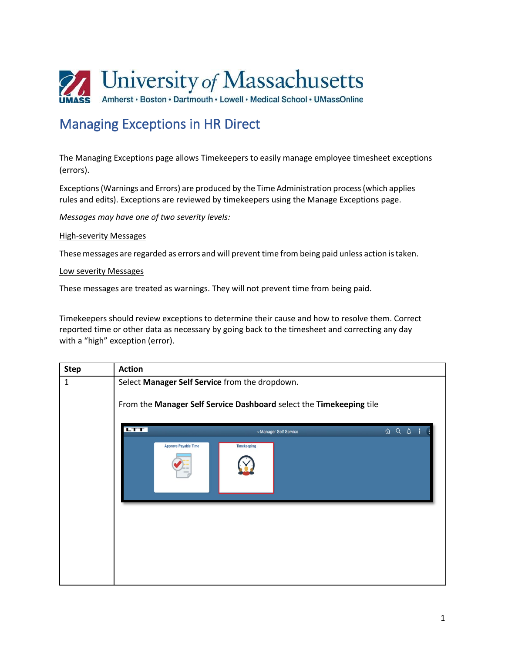

## Managing Exceptions in HR Direct

The Managing Exceptions page allows Timekeepers to easily manage employee timesheet exceptions (errors).

Exceptions (Warnings and Errors) are produced by the Time Administration process (which applies rules and edits). Exceptions are reviewed by timekeepers using the Manage Exceptions page.

*Messages may have one of two severity levels:*

## High-severity Messages

These messages are regarded as errors and will prevent time from being paid unless action istaken.

## Low severity Messages

These messages are treated as warnings. They will not prevent time from being paid.

Timekeepers should review exceptions to determine their cause and how to resolve them. Correct reported time or other data as necessary by going back to the timesheet and correcting any day with a "high" exception (error).

| <b>Step</b> | <b>Action</b>                                                                                                         |
|-------------|-----------------------------------------------------------------------------------------------------------------------|
| $\mathbf 1$ | Select Manager Self Service from the dropdown.<br>From the Manager Self Service Dashboard select the Timekeeping tile |
|             | <b>LTT</b><br>△ 〇 △<br>Manager Self Service<br><b>Approve Payable Time</b><br><b>Timekeeping</b>                      |
|             |                                                                                                                       |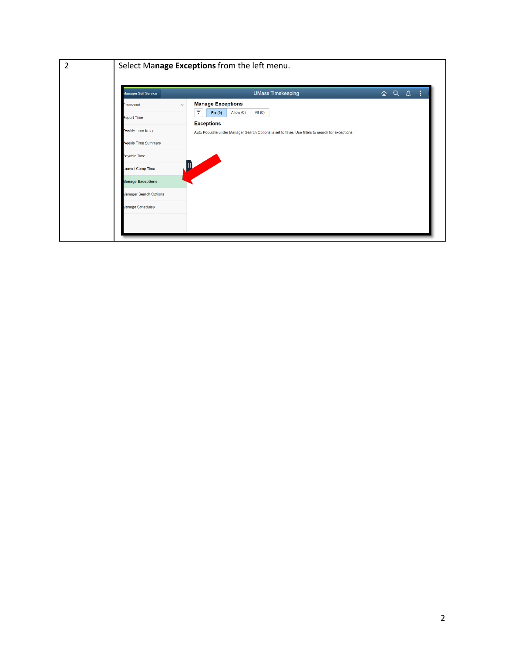| <b>Manager Self Service</b>                    | <b>UMass Timekeeping</b>                                                                                               |  | $\boxed{\hat{\omega}$ Q $\Delta$ : |  |
|------------------------------------------------|------------------------------------------------------------------------------------------------------------------------|--|------------------------------------|--|
| <b>Timesheet</b>                               | <b>Manage Exceptions</b><br>$\checkmark$<br>Allow (0)<br>۳<br>All $(0)$<br>Fix(0)                                      |  |                                    |  |
| <b>Report Time</b><br><b>Neekly Time Entry</b> | <b>Exceptions</b><br>Auto Populate under Manager Search Options is set to false. Use filters to search for exceptions. |  |                                    |  |
| <b>Neekly Time Summary</b>                     |                                                                                                                        |  |                                    |  |
| Payable Time                                   |                                                                                                                        |  |                                    |  |
| eave / Comp Time<br><b>Manage Exceptions</b>   |                                                                                                                        |  |                                    |  |
| Manager Search Options                         |                                                                                                                        |  |                                    |  |
| Manage Schedules                               |                                                                                                                        |  |                                    |  |
|                                                |                                                                                                                        |  |                                    |  |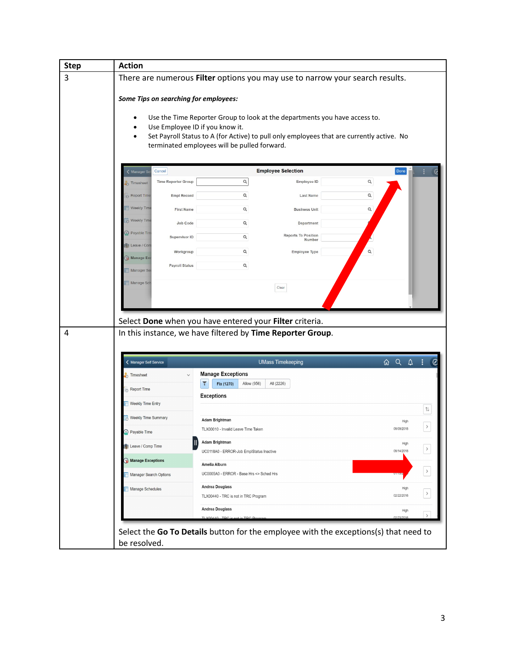| <b>Step</b> | <b>Action</b>                                                                |                                                                                           |                           |                            |  |  |
|-------------|------------------------------------------------------------------------------|-------------------------------------------------------------------------------------------|---------------------------|----------------------------|--|--|
| 3           | There are numerous Filter options you may use to narrow your search results. |                                                                                           |                           |                            |  |  |
|             | Some Tips on searching for employees:                                        |                                                                                           |                           |                            |  |  |
|             |                                                                              | Use the Time Reporter Group to look at the departments you have access to.                |                           |                            |  |  |
|             | Use Employee ID if you know it.<br>$\bullet$                                 | Set Payroll Status to A (for Active) to pull only employees that are currently active. No |                           |                            |  |  |
|             |                                                                              | terminated employees will be pulled forward.                                              |                           |                            |  |  |
|             | Cancel<br>Manager S                                                          | <b>Employee Selection</b>                                                                 |                           | Done                       |  |  |
|             | <b>Time Reporter Group</b><br><b>Timesheet</b>                               | $\hbox{\tt Q}$                                                                            | $\alpha$<br>Employee ID   |                            |  |  |
|             | <b>Empl Record</b><br>Report Time                                            | Q                                                                                         | Q<br><b>Last Name</b>     |                            |  |  |
|             | Weekly Time<br><b>First Name</b>                                             | Q                                                                                         | Q<br><b>Business Unit</b> |                            |  |  |
|             | <b>Weekly Time</b><br>Job Code                                               | Q                                                                                         | Department                |                            |  |  |
|             | Payable Tim<br>Supervisor ID                                                 | <b>Reports To Position</b><br>Q                                                           | Number                    |                            |  |  |
|             | Leave / Con<br>Workgroup                                                     | Q                                                                                         | Q<br>Employee Type        |                            |  |  |
|             | Manage Ex<br><b>Payroll Status</b><br>Manager Se                             | Q                                                                                         |                           |                            |  |  |
|             | Manage Sch                                                                   |                                                                                           |                           |                            |  |  |
|             |                                                                              | Clear                                                                                     |                           |                            |  |  |
|             |                                                                              |                                                                                           |                           |                            |  |  |
|             |                                                                              | Select Done when you have entered your Filter criteria.                                   |                           |                            |  |  |
| 4           |                                                                              | In this instance, we have filtered by Time Reporter Group.                                |                           |                            |  |  |
|             | < Manager Self Service                                                       | <b>UMass Timekeeping</b>                                                                  |                           | A Q A :                    |  |  |
|             | <b>Timesheet</b><br>$\checkmark$                                             | <b>Manage Exceptions</b><br>Fix (1270)<br>Allow (956)<br>All (2226)                       |                           |                            |  |  |
|             | Report Time                                                                  | <b>Exceptions</b>                                                                         |                           |                            |  |  |
|             | Weekly Time Entry                                                            |                                                                                           |                           | 钆                          |  |  |
|             | Weekly Time Summary                                                          | <b>Adam Brightman</b>                                                                     |                           | High                       |  |  |
|             | $\Diamond$ Payable Time                                                      | TLX00010 - Invalid Leave Time Taken                                                       |                           | $\rightarrow$<br>09/09/201 |  |  |
|             | Leave / Comp Time                                                            | Adam Brightman<br>UC0118A0 - ERROR-Job EmplStatus Inactive                                |                           | High<br>$\,$<br>09/14/2018 |  |  |
|             | Manage Exceptions                                                            | Amelia Alburn                                                                             |                           |                            |  |  |
|             | Manager Search Options                                                       | UC0005A0 - ERROR - Base Hrs <> Sched Hrs                                                  |                           | $\,$                       |  |  |
|             | Manage Schedules                                                             | <b>Andrea Douglass</b><br>TLX00440 - TRC is not in TRC Program                            |                           | High<br>$\,$<br>02/22/2016 |  |  |
|             |                                                                              | <b>Andrea Douglass</b>                                                                    |                           | High                       |  |  |
|             |                                                                              |                                                                                           |                           |                            |  |  |
|             |                                                                              | Select the Go To Details button for the employee with the exceptions(s) that need to      |                           |                            |  |  |
|             | be resolved.                                                                 |                                                                                           |                           |                            |  |  |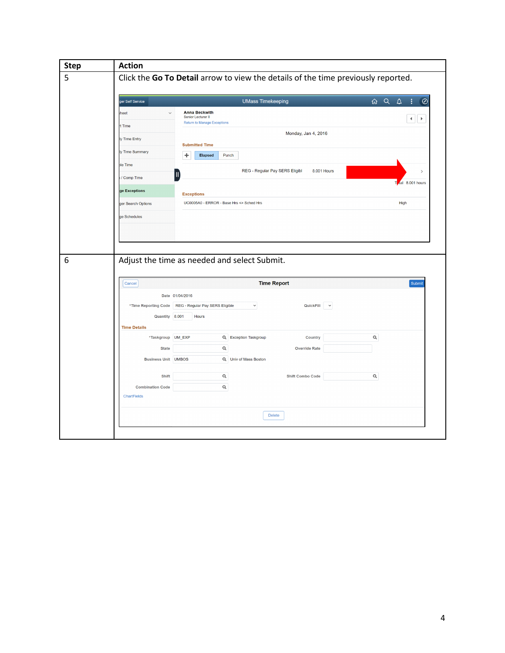| <b>Step</b> | <b>Action</b>                                                                                                |                                              |
|-------------|--------------------------------------------------------------------------------------------------------------|----------------------------------------------|
| 5           | Click the Go To Detail arrow to view the details of the time previously reported.                            |                                              |
|             |                                                                                                              |                                              |
|             | <b>UMass Timekeeping</b><br>ger Self Service                                                                 | $\overline{a}$ Q<br>$\Delta$<br>÷<br>$\odot$ |
|             | <b>Anna Beckwith</b><br>$\checkmark$<br>heet<br>Senior Lecturer II<br><b>Return to Manage Exceptions</b>     | $\left  \cdot \right $<br>$\rightarrow$      |
|             | t Time<br>Monday, Jan 4, 2016                                                                                |                                              |
|             | ly Time Entry<br><b>Submitted Time</b>                                                                       |                                              |
|             | ly Time Summary<br>÷<br><b>Elapsed</b><br>Punch                                                              |                                              |
|             | ble Time<br>REG - Regular Pay SERS Eligibl<br>8.001 Hours                                                    | $\rightarrow$                                |
|             | / Comp Time<br>ge Exceptions                                                                                 | To al 8.001 hours                            |
|             | <b>Exceptions</b><br>UC0005A0 - ERROR - Base Hrs <> Sched Hrs<br>ger Search Options                          | High                                         |
|             | ge Schedules                                                                                                 |                                              |
|             |                                                                                                              |                                              |
|             |                                                                                                              |                                              |
|             |                                                                                                              |                                              |
|             | Adjust the time as needed and select Submit.                                                                 |                                              |
|             | <b>Time Report</b><br>Cancel                                                                                 | Submit                                       |
|             | Date 01/04/2016                                                                                              |                                              |
|             | *Time Reporting Code<br>REG - Regular Pay SERS Eligible<br>$\check{~}$<br>QuickFill v                        |                                              |
|             | Quantity 8.001<br>Hours                                                                                      |                                              |
|             | <b>Time Details</b>                                                                                          |                                              |
|             | *Taskgroup UM_EXP<br>Q Exception Taskgroup<br>Country<br>$\mathsf Q$<br><b>Override Rate</b><br><b>State</b> | $\mathsf Q$                                  |
|             | <b>Business Unit UMBOS</b><br>Q Univ of Mass Boston                                                          |                                              |
|             |                                                                                                              |                                              |
|             | $\mathsf Q$<br>Shift<br><b>Shift Combo Code</b><br>Q<br><b>Combination Code</b>                              | $\mathsf Q$                                  |
|             | ChartFields                                                                                                  |                                              |
|             |                                                                                                              |                                              |
|             |                                                                                                              |                                              |
|             | <b>Delete</b>                                                                                                |                                              |